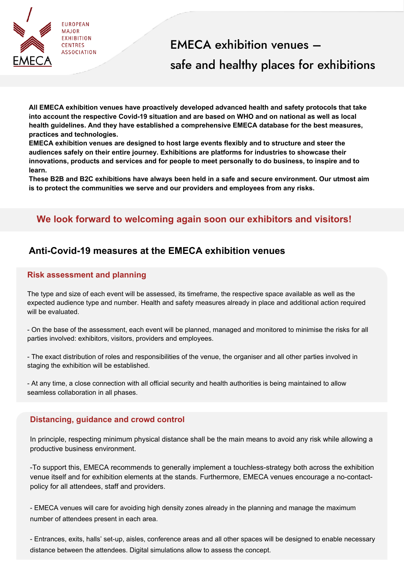

# EMECA exhibition venues – safe and healthy places for exhibitions

**All EMECA exhibition venues have proactively developed advanced health and safety protocols that take into account the respective Covid-19 situation and are based on WHO and on national as well as local health guidelines. And they have established a comprehensive EMECA database for the best measures, practices and technologies.**

**EMECA exhibition venues are designed to host large events flexibly and to structure and steer the audiences safely on their entire journey. Exhibitions are platforms for industries to showcase their innovations, products and services and for people to meet personally to do business, to inspire and to learn.** 

**These B2B and B2C exhibitions have always been held in a safe and secure environment. Our utmost aim is to protect the communities we serve and our providers and employees from any risks.** 

# **We look forward to welcoming again soon our exhibitors and visitors!**

# **Anti-Covid-19 measures at the EMECA exhibition venues**

#### **Risk assessment and planning**

The type and size of each event will be assessed, its timeframe, the respective space available as well as the expected audience type and number. Health and safety measures already in place and additional action required will be evaluated.

- On the base of the assessment, each event will be planned, managed and monitored to minimise the risks for all parties involved: exhibitors, visitors, providers and employees.

- The exact distribution of roles and responsibilities of the venue, the organiser and all other parties involved in staging the exhibition will be established.

- At any time, a close connection with all official security and health authorities is being maintained to allow seamless collaboration in all phases.

#### **Distancing, guidance and crowd control**

In principle, respecting minimum physical distance shall be the main means to avoid any risk while allowing a productive business environment.

-To support this, EMECA recommends to generally implement a touchless-strategy both across the exhibition venue itself and for exhibition elements at the stands. Furthermore, EMECA venues encourage a no-contactpolicy for all attendees, staff and providers.

- EMECA venues will care for avoiding high density zones already in the planning and manage the maximum number of attendees present in each area.

- Entrances, exits, halls' set-up, aisles, conference areas and all other spaces will be designed to enable necessary distance between the attendees. Digital simulations allow to assess the concept.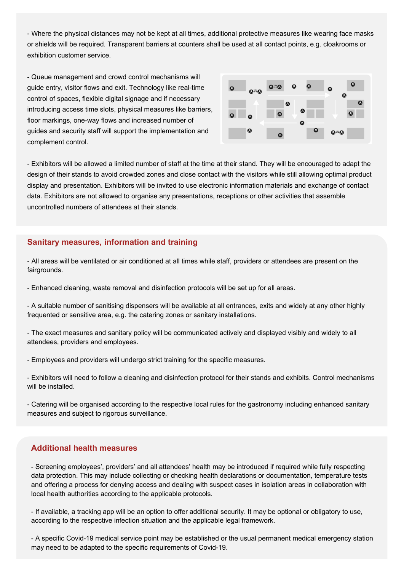- Where the physical distances may not be kept at all times, additional protective measures like wearing face masks or shields will be required. Transparent barriers at counters shall be used at all contact points, e.g. cloakrooms or exhibition customer service.

- Queue management and crowd control mechanisms will guide entry, visitor flows and exit. Technology like real-time control of spaces, flexible digital signage and if necessary introducing access time slots, physical measures like barriers, floor markings, one-way flows and increased number of guides and security staff will support the implementation and complement control.



- Exhibitors will be allowed a limited number of staff at the time at their stand. They will be encouraged to adapt the design of their stands to avoid crowded zones and close contact with the visitors while still allowing optimal product display and presentation. Exhibitors will be invited to use electronic information materials and exchange of contact data. Exhibitors are not allowed to organise any presentations, receptions or other activities that assemble uncontrolled numbers of attendees at their stands.

#### **Sanitary measures, information and training**

- All areas will be ventilated or air conditioned at all times while staff, providers or attendees are present on the fairgrounds.

- Enhanced cleaning, waste removal and disinfection protocols will be set up for all areas.

- A suitable number of sanitising dispensers will be available at all entrances, exits and widely at any other highly frequented or sensitive area, e.g. the catering zones or sanitary installations.

- The exact measures and sanitary policy will be communicated actively and displayed visibly and widely to all attendees, providers and employees.

- Employees and providers will undergo strict training for the specific measures.

- Exhibitors will need to follow a cleaning and disinfection protocol for their stands and exhibits. Control mechanisms will be installed.

- Catering will be organised according to the respective local rules for the gastronomy including enhanced sanitary measures and subject to rigorous surveillance.

#### **Additional health measures**

- Screening employees', providers' and all attendees' health may be introduced if required while fully respecting data protection. This may include collecting or checking health declarations or documentation, temperature tests and offering a process for denying access and dealing with suspect cases in isolation areas in collaboration with local health authorities according to the applicable protocols.

- If available, a tracking app will be an option to offer additional security. It may be optional or obligatory to use, according to the respective infection situation and the applicable legal framework.

- A specific Covid-19 medical service point may be established or the usual permanent medical emergency station may need to be adapted to the specific requirements of Covid-19.